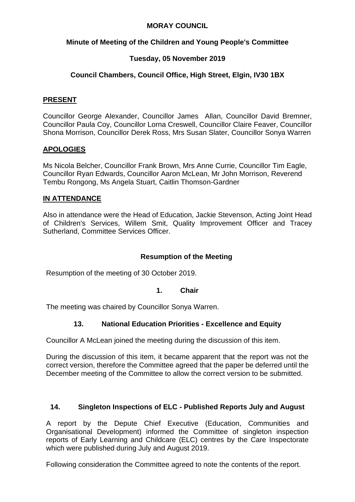### **MORAY COUNCIL**

## **Minute of Meeting of the Children and Young People's Committee**

# **Tuesday, 05 November 2019**

# **Council Chambers, Council Office, High Street, Elgin, IV30 1BX**

### **PRESENT**

Councillor George Alexander, Councillor James Allan, Councillor David Bremner, Councillor Paula Coy, Councillor Lorna Creswell, Councillor Claire Feaver, Councillor Shona Morrison, Councillor Derek Ross, Mrs Susan Slater, Councillor Sonya Warren

## **APOLOGIES**

Ms Nicola Belcher, Councillor Frank Brown, Mrs Anne Currie, Councillor Tim Eagle, Councillor Ryan Edwards, Councillor Aaron McLean, Mr John Morrison, Reverend Tembu Rongong, Ms Angela Stuart, Caitlin Thomson-Gardner

## **IN ATTENDANCE**

Also in attendance were the Head of Education, Jackie Stevenson, Acting Joint Head of Children's Services, Willem Smit, Quality Improvement Officer and Tracey Sutherland, Committee Services Officer.

## **Resumption of the Meeting**

Resumption of the meeting of 30 October 2019.

### **1. Chair**

The meeting was chaired by Councillor Sonya Warren.

## **13. National Education Priorities - Excellence and Equity**

Councillor A McLean joined the meeting during the discussion of this item.

During the discussion of this item, it became apparent that the report was not the correct version, therefore the Committee agreed that the paper be deferred until the December meeting of the Committee to allow the correct version to be submitted.

#### **14. Singleton Inspections of ELC - Published Reports July and August**

A report by the Depute Chief Executive (Education, Communities and Organisational Development) informed the Committee of singleton inspection reports of Early Learning and Childcare (ELC) centres by the Care Inspectorate which were published during July and August 2019.

Following consideration the Committee agreed to note the contents of the report.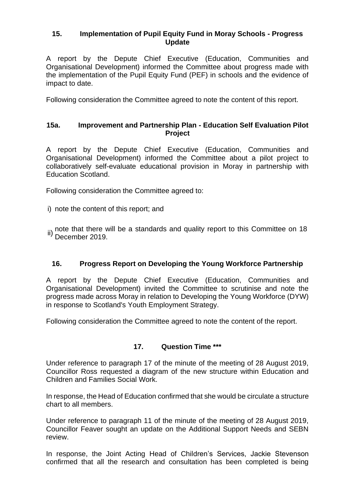### **15. Implementation of Pupil Equity Fund in Moray Schools - Progress Update**

A report by the Depute Chief Executive (Education, Communities and Organisational Development) informed the Committee about progress made with the implementation of the Pupil Equity Fund (PEF) in schools and the evidence of impact to date.

Following consideration the Committee agreed to note the content of this report.

#### **15a. Improvement and Partnership Plan - Education Self Evaluation Pilot Project**

A report by the Depute Chief Executive (Education, Communities and Organisational Development) informed the Committee about a pilot project to collaboratively self-evaluate educational provision in Moray in partnership with Education Scotland.

Following consideration the Committee agreed to:

i) note the content of this report; and

ii) note that there will be a standards and quality report to this Committee on 18<br>December 2019.

#### **16. Progress Report on Developing the Young Workforce Partnership**

A report by the Depute Chief Executive (Education, Communities and Organisational Development) invited the Committee to scrutinise and note the progress made across Moray in relation to Developing the Young Workforce (DYW) in response to Scotland's Youth Employment Strategy.

Following consideration the Committee agreed to note the content of the report.

#### **17. Question Time \*\*\***

Under reference to paragraph 17 of the minute of the meeting of 28 August 2019, Councillor Ross requested a diagram of the new structure within Education and Children and Families Social Work.

In response, the Head of Education confirmed that she would be circulate a structure chart to all members.

Under reference to paragraph 11 of the minute of the meeting of 28 August 2019, Councillor Feaver sought an update on the Additional Support Needs and SEBN review.

In response, the Joint Acting Head of Children's Services, Jackie Stevenson confirmed that all the research and consultation has been completed is being